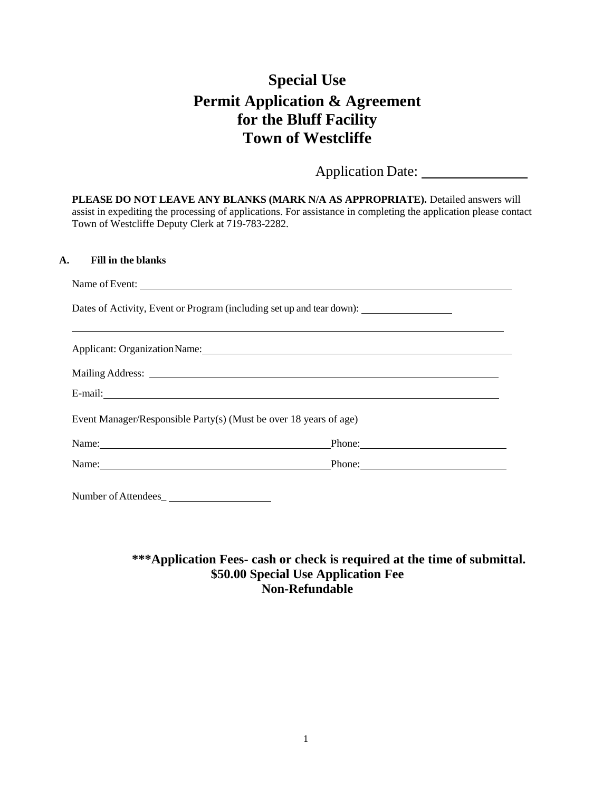# **Special Use Permit Application & Agreement for the Bluff Facility Town of Westcliffe**

Application Date:

**PLEASE DO NOT LEAVE ANY BLANKS (MARK N/A AS APPROPRIATE).** Detailed answers will assist in expediting the processing of applications. For assistance in completing the application please contact Town of Westcliffe Deputy Clerk at 719-783-2282.

## **A. Fill in the blanks**

| Name of Event:                                                                                                                                                                                                                 |                                                                                                                |  |
|--------------------------------------------------------------------------------------------------------------------------------------------------------------------------------------------------------------------------------|----------------------------------------------------------------------------------------------------------------|--|
| Dates of Activity, Event or Program (including set up and tear down):                                                                                                                                                          |                                                                                                                |  |
| Applicant: Organization Name: 1988 and 2008 and 2008 and 2008 and 2008 and 2008 and 2008 and 2008 and 2008 and 2008 and 2008 and 2008 and 2008 and 2008 and 2008 and 2008 and 2008 and 2008 and 2008 and 2008 and 2008 and 200 |                                                                                                                |  |
|                                                                                                                                                                                                                                |                                                                                                                |  |
|                                                                                                                                                                                                                                |                                                                                                                |  |
| Event Manager/Responsible Party(s) (Must be over 18 years of age)                                                                                                                                                              |                                                                                                                |  |
| Name: Name and the set of the set of the set of the set of the set of the set of the set of the set of the set of the set of the set of the set of the set of the set of the set of the set of the set of the set of the set o | Phone: 2008 and 2008 and 2008 and 2008 and 2008 and 2008 and 2008 and 2008 and 2008 and 2008 and 2008 and 2008 |  |
| Name: Phone: Phone:                                                                                                                                                                                                            |                                                                                                                |  |
| Number of Attendees_                                                                                                                                                                                                           |                                                                                                                |  |

# **\*\*\*Application Fees- cash or check is required at the time of submittal. \$50.00 Special Use Application Fee Non-Refundable**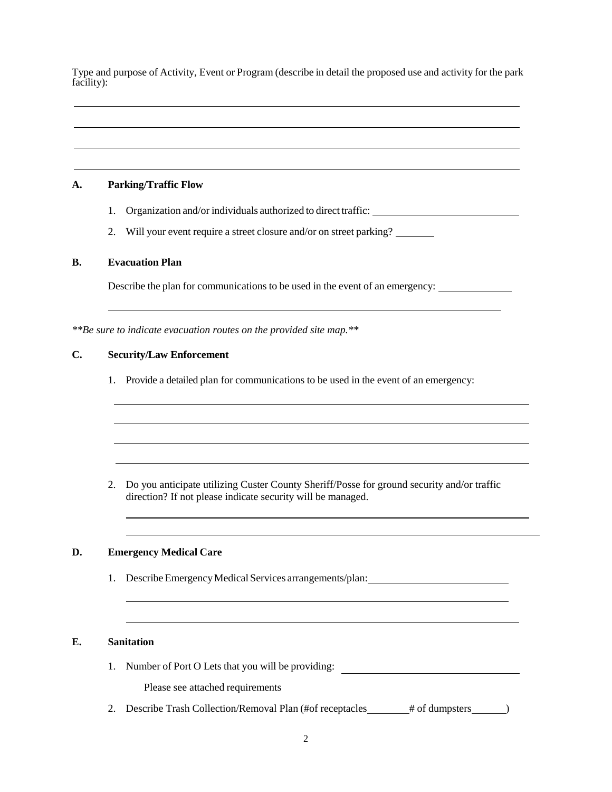Type and purpose of Activity, Event or Program (describe in detail the proposed use and activity for the park facility):

#### **A. Parking/Traffic Flow**

- 1. Organization and/or individuals authorized to direct traffic:
- 2. Will your event require a street closure and/or on street parking?

#### **B. Evacuation Plan**

Describe the plan for communications to be used in the event of an emergency:

*\*\*Be sure to indicate evacuation routes on the provided site map.\*\**

## **C. Security/Law Enforcement**

1. Provide a detailed plan for communications to be used in the event of an emergency:

2. Do you anticipate utilizing Custer County Sheriff/Posse for ground security and/or traffic direction? If not please indicate security will be managed.

#### **D. Emergency Medical Care**

1. Describe Emergency Medical Services arrangements/plan:

#### **E. Sanitation**

1. Number of Port O Lets that you will be providing:

Please see attached requirements

2. Describe Trash Collection/Removal Plan (#of receptacles \_\_\_\_\_\_\_# of dumpsters \_\_\_\_\_\_)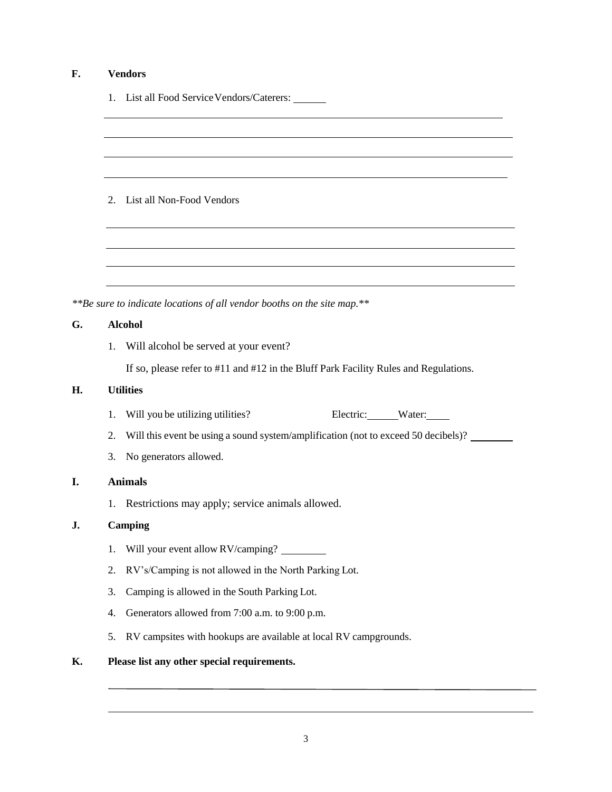# **F. Vendors**

1. List all Food Service Vendors/Caterers:

2. List all Non-Food Vendors

*\*\*Be sure to indicate locations of all vendor booths on the site map.\*\**

## **G. Alcohol**

1. Will alcohol be served at your event?

If so, please refer to #11 and #12 in the Bluff Park Facility Rules and Regulations.

#### **H. Utilities**

- 1. Will you be utilizing utilities? Electric: Water:
- 2. Will this event be using a sound system/amplification (not to exceed 50 decibels)?
- 3. No generators allowed.

## **I. Animals**

1. Restrictions may apply; service animals allowed.

## **J. Camping**

- 1. Will your event allow RV/camping?
- 2. RV's/Camping is not allowed in the North Parking Lot.
- 3. Camping is allowed in the South Parking Lot.
- 4. Generators allowed from 7:00 a.m. to 9:00 p.m.
- 5. RV campsites with hookups are available at local RV campgrounds.

# **K. Please list any other special requirements.**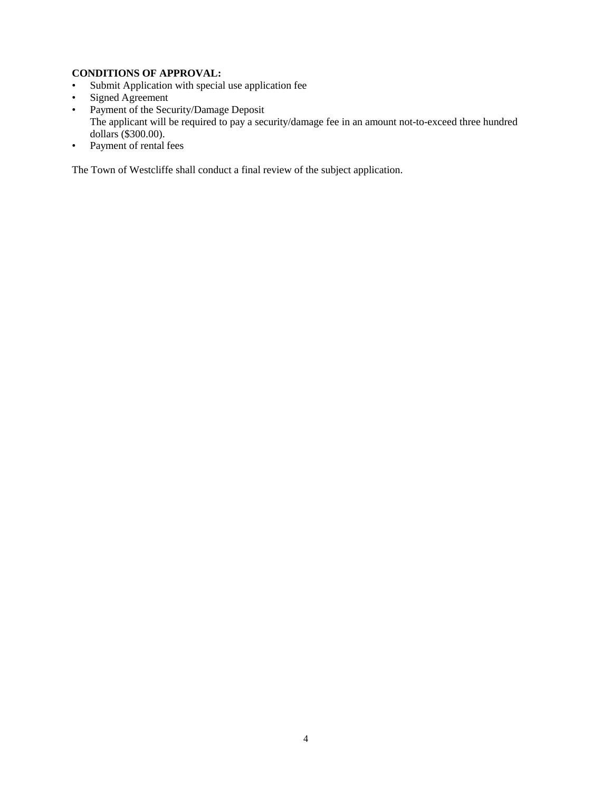## **CONDITIONS OF APPROVAL:**

- Submit Application with special use application fee
- Signed Agreement
- Payment of the Security/Damage Deposit The applicant will be required to pay a security/damage fee in an amount not-to-exceed three hundred dollars (\$300.00).
- Payment of rental fees

The Town of Westcliffe shall conduct a final review of the subject application.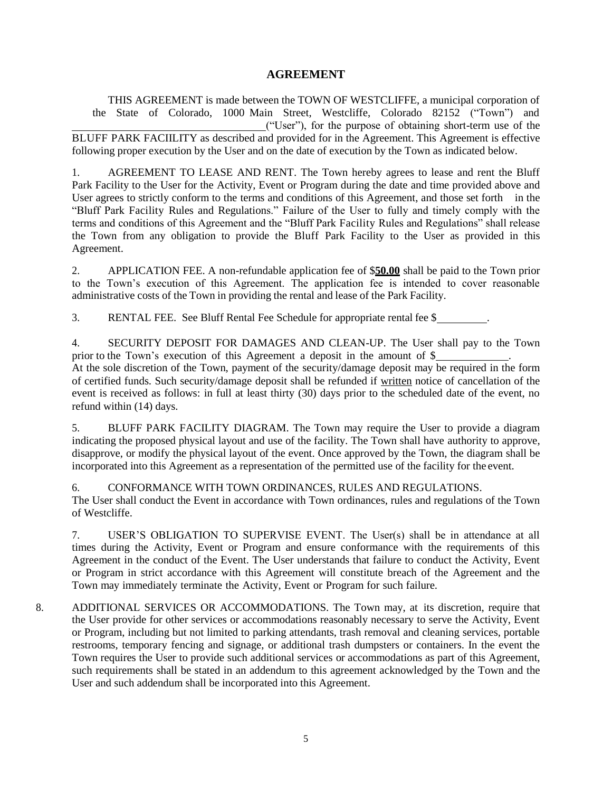# **AGREEMENT**

THIS AGREEMENT is made between the TOWN OF WESTCLIFFE, a municipal corporation of the State of Colorado, 1000 Main Street, Westcliffe, Colorado 82152 ("Town") and ("User"), for the purpose of obtaining short-term use of the BLUFF PARK FACIILITY as described and provided for in the Agreement. This Agreement is effective following proper execution by the User and on the date of execution by the Town as indicated below.

1. AGREEMENT TO LEASE AND RENT. The Town hereby agrees to lease and rent the Bluff Park Facility to the User for the Activity, Event or Program during the date and time provided above and User agrees to strictly conform to the terms and conditions of this Agreement, and those set forth in the "Bluff Park Facility Rules and Regulations." Failure of the User to fully and timely comply with the terms and conditions of this Agreement and the "Bluff Park Facility Rules and Regulations" shall release the Town from any obligation to provide the Bluff Park Facility to the User as provided in this Agreement.

2. APPLICATION FEE. A non-refundable application fee of \$**50.00** shall be paid to the Town prior to the Town's execution of this Agreement. The application fee is intended to cover reasonable administrative costs of the Town in providing the rental and lease of the Park Facility.

3. RENTAL FEE. See Bluff Rental Fee Schedule for appropriate rental fee \$ .

4. SECURITY DEPOSIT FOR DAMAGES AND CLEAN-UP. The User shall pay to the Town prior to the Town's execution of this Agreement a deposit in the amount of \$ .

At the sole discretion of the Town, payment of the security/damage deposit may be required in the form of certified funds. Such security/damage deposit shall be refunded if written notice of cancellation of the event is received as follows: in full at least thirty (30) days prior to the scheduled date of the event, no refund within (14) days.

5. BLUFF PARK FACILITY DIAGRAM. The Town may require the User to provide a diagram indicating the proposed physical layout and use of the facility. The Town shall have authority to approve, disapprove, or modify the physical layout of the event. Once approved by the Town, the diagram shall be incorporated into this Agreement as a representation of the permitted use of the facility for the event.

6. CONFORMANCE WITH TOWN ORDINANCES, RULES AND REGULATIONS.

The User shall conduct the Event in accordance with Town ordinances, rules and regulations of the Town of Westcliffe.

7. USER'S OBLIGATION TO SUPERVISE EVENT. The User(s) shall be in attendance at all times during the Activity, Event or Program and ensure conformance with the requirements of this Agreement in the conduct of the Event. The User understands that failure to conduct the Activity, Event or Program in strict accordance with this Agreement will constitute breach of the Agreement and the Town may immediately terminate the Activity, Event or Program for such failure.

8. ADDITIONAL SERVICES OR ACCOMMODATIONS. The Town may, at its discretion, require that the User provide for other services or accommodations reasonably necessary to serve the Activity, Event or Program, including but not limited to parking attendants, trash removal and cleaning services, portable restrooms, temporary fencing and signage, or additional trash dumpsters or containers. In the event the Town requires the User to provide such additional services or accommodations as part of this Agreement, such requirements shall be stated in an addendum to this agreement acknowledged by the Town and the User and such addendum shall be incorporated into this Agreement.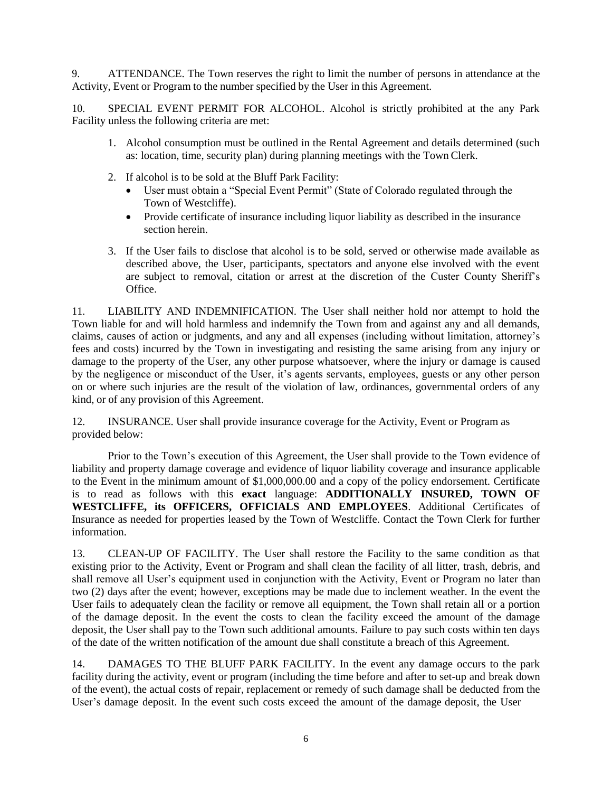9. ATTENDANCE. The Town reserves the right to limit the number of persons in attendance at the Activity, Event or Program to the number specified by the User in this Agreement.

10. SPECIAL EVENT PERMIT FOR ALCOHOL. Alcohol is strictly prohibited at the any Park Facility unless the following criteria are met:

- 1. Alcohol consumption must be outlined in the Rental Agreement and details determined (such as: location, time, security plan) during planning meetings with the Town Clerk.
- 2. If alcohol is to be sold at the Bluff Park Facility:
	- User must obtain a "Special Event Permit" (State of Colorado regulated through the Town of Westcliffe).
	- Provide certificate of insurance including liquor liability as described in the insurance section herein.
- 3. If the User fails to disclose that alcohol is to be sold, served or otherwise made available as described above, the User, participants, spectators and anyone else involved with the event are subject to removal, citation or arrest at the discretion of the Custer County Sheriff's Office.

11. LIABILITY AND INDEMNIFICATION. The User shall neither hold nor attempt to hold the Town liable for and will hold harmless and indemnify the Town from and against any and all demands, claims, causes of action or judgments, and any and all expenses (including without limitation, attorney's fees and costs) incurred by the Town in investigating and resisting the same arising from any injury or damage to the property of the User, any other purpose whatsoever, where the injury or damage is caused by the negligence or misconduct of the User, it's agents servants, employees, guests or any other person on or where such injuries are the result of the violation of law, ordinances, governmental orders of any kind, or of any provision of this Agreement.

12. INSURANCE. User shall provide insurance coverage for the Activity, Event or Program as provided below:

Prior to the Town's execution of this Agreement, the User shall provide to the Town evidence of liability and property damage coverage and evidence of liquor liability coverage and insurance applicable to the Event in the minimum amount of \$1,000,000.00 and a copy of the policy endorsement. Certificate is to read as follows with this **exact** language: **ADDITIONALLY INSURED, TOWN OF WESTCLIFFE, its OFFICERS, OFFICIALS AND EMPLOYEES**. Additional Certificates of Insurance as needed for properties leased by the Town of Westcliffe. Contact the Town Clerk for further information.

13. CLEAN-UP OF FACILITY. The User shall restore the Facility to the same condition as that existing prior to the Activity, Event or Program and shall clean the facility of all litter, trash, debris, and shall remove all User's equipment used in conjunction with the Activity, Event or Program no later than two (2) days after the event; however, exceptions may be made due to inclement weather. In the event the User fails to adequately clean the facility or remove all equipment, the Town shall retain all or a portion of the damage deposit. In the event the costs to clean the facility exceed the amount of the damage deposit, the User shall pay to the Town such additional amounts. Failure to pay such costs within ten days of the date of the written notification of the amount due shall constitute a breach of this Agreement.

14. DAMAGES TO THE BLUFF PARK FACILITY. In the event any damage occurs to the park facility during the activity, event or program (including the time before and after to set-up and break down of the event), the actual costs of repair, replacement or remedy of such damage shall be deducted from the User's damage deposit. In the event such costs exceed the amount of the damage deposit, the User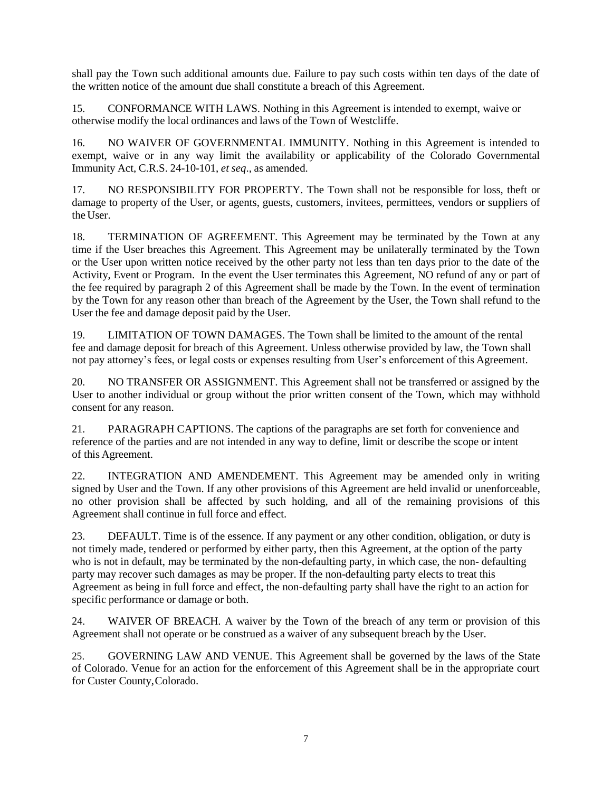shall pay the Town such additional amounts due. Failure to pay such costs within ten days of the date of the written notice of the amount due shall constitute a breach of this Agreement.

15. CONFORMANCE WITH LAWS. Nothing in this Agreement is intended to exempt, waive or otherwise modify the local ordinances and laws of the Town of Westcliffe.

16. NO WAIVER OF GOVERNMENTAL IMMUNITY. Nothing in this Agreement is intended to exempt, waive or in any way limit the availability or applicability of the Colorado Governmental Immunity Act, C.R.S. 24-10-101, *et seq*., as amended.

17. NO RESPONSIBILITY FOR PROPERTY. The Town shall not be responsible for loss, theft or damage to property of the User, or agents, guests, customers, invitees, permittees, vendors or suppliers of the User.

18. TERMINATION OF AGREEMENT. This Agreement may be terminated by the Town at any time if the User breaches this Agreement. This Agreement may be unilaterally terminated by the Town or the User upon written notice received by the other party not less than ten days prior to the date of the Activity, Event or Program. In the event the User terminates this Agreement, NO refund of any or part of the fee required by paragraph 2 of this Agreement shall be made by the Town. In the event of termination by the Town for any reason other than breach of the Agreement by the User, the Town shall refund to the User the fee and damage deposit paid by the User.

19. LIMITATION OF TOWN DAMAGES. The Town shall be limited to the amount of the rental fee and damage deposit for breach of this Agreement. Unless otherwise provided by law, the Town shall not pay attorney's fees, or legal costs or expenses resulting from User's enforcement of this Agreement.

20. NO TRANSFER OR ASSIGNMENT. This Agreement shall not be transferred or assigned by the User to another individual or group without the prior written consent of the Town, which may withhold consent for any reason.

21. PARAGRAPH CAPTIONS. The captions of the paragraphs are set forth for convenience and reference of the parties and are not intended in any way to define, limit or describe the scope or intent of this Agreement.

22. INTEGRATION AND AMENDEMENT. This Agreement may be amended only in writing signed by User and the Town. If any other provisions of this Agreement are held invalid or unenforceable, no other provision shall be affected by such holding, and all of the remaining provisions of this Agreement shall continue in full force and effect.

23. DEFAULT. Time is of the essence. If any payment or any other condition, obligation, or duty is not timely made, tendered or performed by either party, then this Agreement, at the option of the party who is not in default, may be terminated by the non-defaulting party, in which case, the non- defaulting party may recover such damages as may be proper. If the non-defaulting party elects to treat this Agreement as being in full force and effect, the non-defaulting party shall have the right to an action for specific performance or damage or both.

24. WAIVER OF BREACH. A waiver by the Town of the breach of any term or provision of this Agreement shall not operate or be construed as a waiver of any subsequent breach by the User.

25. GOVERNING LAW AND VENUE. This Agreement shall be governed by the laws of the State of Colorado. Venue for an action for the enforcement of this Agreement shall be in the appropriate court for Custer County,Colorado.